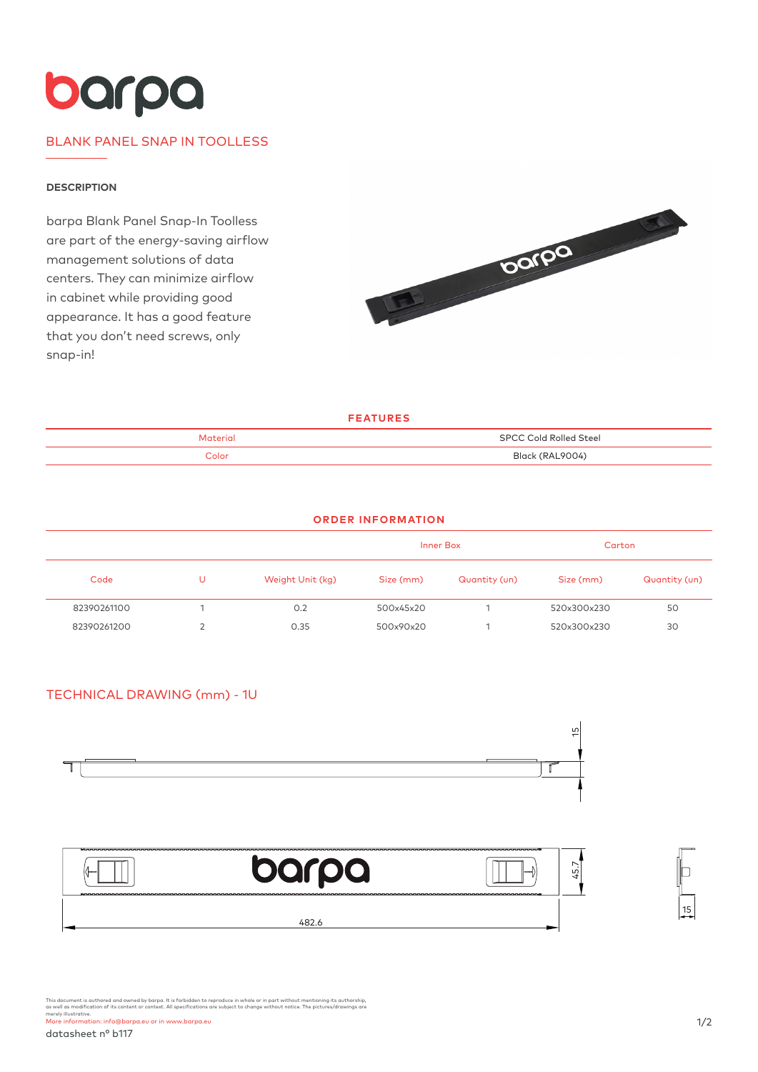# barpa

# BLANK PANEL SNAP IN TOOLLESS

#### **DESCRIPTION**

barpa Blank Panel Snap-In Toolless are part of the energy-saving airflow management solutions of data centers. They can minimize airflow in cabinet while providing good appearance. It has a good feature that you don't need screws, only snap-in!



**FEATURES**

| Material | <b>SPCC Cold Rolled Steel</b> |
|----------|-------------------------------|
| Color    | Black (RAL9004)               |

#### **ORDER INFORMATION**

|             |   |                  | Inner Box |               | Carton      |               |
|-------------|---|------------------|-----------|---------------|-------------|---------------|
| Code        | U | Weight Unit (kg) | Size (mm) | Quantity (un) | Size (mm)   | Quantity (un) |
| 82390261100 |   | 0.2              | 500x45x20 |               | 520x300x230 | 50            |
| 82390261200 |   | 0.35             | 500x90x20 |               | 520x300x230 | 30            |

## TECHNICAL DRAWING (mm) - 1U





This document is authored and owned by barpa. It is forbidden to reproduce in whole or in part without mentioning its authorship,<br>as well as modification of its content or context. All specifications are subject to change merely illustrative. More information: info@barpa.eu or in www.barpa.eu

15